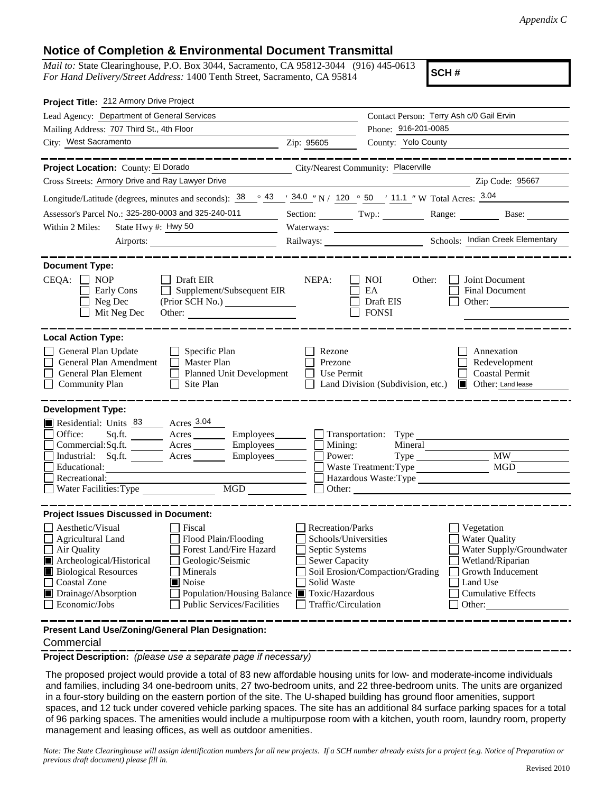## **Notice of Completion & Environmental Document Transmittal**

*Mail to:* State Clearinghouse, P.O. Box 3044, Sacramento, CA 95812-3044 (916) 445-0613 *For Hand Delivery/Street Address:* 1400 Tenth Street, Sacramento, CA 95814

**SCH #**

| Project Title: 212 Armory Drive Project                                                                                                                                                                                                                                                                                                                                        |                                                                                                                           |                                                                                    |                                                                                                                                                            |
|--------------------------------------------------------------------------------------------------------------------------------------------------------------------------------------------------------------------------------------------------------------------------------------------------------------------------------------------------------------------------------|---------------------------------------------------------------------------------------------------------------------------|------------------------------------------------------------------------------------|------------------------------------------------------------------------------------------------------------------------------------------------------------|
| Lead Agency: Department of General Services                                                                                                                                                                                                                                                                                                                                    |                                                                                                                           | Contact Person: Terry Ash c/0 Gail Ervin                                           |                                                                                                                                                            |
| Mailing Address: 707 Third St., 4th Floor                                                                                                                                                                                                                                                                                                                                      |                                                                                                                           | Phone: 916-201-0085                                                                |                                                                                                                                                            |
| City: West Sacramento<br><u> 1989 - Johann Barn, mars eta bainar eta idazlea (h. 1989).</u>                                                                                                                                                                                                                                                                                    | Zip: 95605                                                                                                                | County: Yolo County                                                                |                                                                                                                                                            |
| ________                                                                                                                                                                                                                                                                                                                                                                       |                                                                                                                           |                                                                                    | . __ __ __ __ __ __ __ __ __ __                                                                                                                            |
| Project Location: County: El Dorado                                                                                                                                                                                                                                                                                                                                            |                                                                                                                           | City/Nearest Community: Placerville                                                |                                                                                                                                                            |
| Cross Streets: Armory Drive and Ray Lawyer Drive                                                                                                                                                                                                                                                                                                                               |                                                                                                                           |                                                                                    | Zip Code: 95667                                                                                                                                            |
| Longitude/Latitude (degrees, minutes and seconds): $\frac{38}{9}$ $\frac{43}{1}$ $\frac{34.0}{1}$ N / 120 $\degree$ 50 $\degree$ 11.1 "W Total Acres: $\frac{3.04}{1}$                                                                                                                                                                                                         |                                                                                                                           |                                                                                    |                                                                                                                                                            |
| Assessor's Parcel No.: 325-280-0003 and 325-240-011                                                                                                                                                                                                                                                                                                                            |                                                                                                                           |                                                                                    | Section: Twp.: Range: Base:                                                                                                                                |
| State Hwy #: Hwy 50<br>Within 2 Miles:                                                                                                                                                                                                                                                                                                                                         |                                                                                                                           |                                                                                    |                                                                                                                                                            |
|                                                                                                                                                                                                                                                                                                                                                                                |                                                                                                                           |                                                                                    |                                                                                                                                                            |
| <b>Document Type:</b>                                                                                                                                                                                                                                                                                                                                                          |                                                                                                                           |                                                                                    |                                                                                                                                                            |
| $CEQA: \Box NP$<br>Draft EIR<br>Supplement/Subsequent EIR<br>Early Cons<br>Neg Dec<br>Mit Neg Dec<br>Other:                                                                                                                                                                                                                                                                    | NEPA:                                                                                                                     | <b>NOI</b><br>Other:<br>EA<br>Draft EIS<br><b>FONSI</b>                            | Joint Document<br>Final Document<br>Other:                                                                                                                 |
| <b>Local Action Type:</b><br>General Plan Update<br>$\Box$ Specific Plan<br>General Plan Amendment<br><b>Master Plan</b><br>General Plan Element<br>Planned Unit Development<br><b>Community Plan</b><br>$\Box$ Site Plan                                                                                                                                                      | Rezone<br>Prezone<br>Use Permit                                                                                           | Land Division (Subdivision, etc.) <b>I</b> Other: Land lease                       | Annexation<br>Redevelopment<br><b>Coastal Permit</b>                                                                                                       |
| <b>Development Type:</b>                                                                                                                                                                                                                                                                                                                                                       |                                                                                                                           |                                                                                    |                                                                                                                                                            |
| Residential: Units 83 Acres 3.04<br>Office:<br>Commercial:Sq.ft.<br>Acres Employees<br>Industrial: Sq.ft. _______ Acres ______<br>Employees_______<br>Educational:<br>Recreational:                                                                                                                                                                                            | $Employes \_$ $\Box$ Transportation: Type<br>Mining:<br>Power:                                                            | Mineral<br>$Type \_\_$<br>Waste Treatment: Type<br>Hazardous Waste: Type<br>Other: | $\overline{\text{MW}}$<br>MGD                                                                                                                              |
| <b>Project Issues Discussed in Document:</b>                                                                                                                                                                                                                                                                                                                                   |                                                                                                                           |                                                                                    |                                                                                                                                                            |
| Aesthetic/Visual<br>Fiscal<br>Flood Plain/Flooding<br><b>Agricultural Land</b><br>Forest Land/Fire Hazard<br>Air Quality<br>Archeological/Historical<br>Geologic/Seismic<br><b>Biological Resources</b><br>Minerals<br>Noise<br><b>Coastal Zone</b><br>Population/Housing Balance Toxic/Hazardous<br>Drainage/Absorption<br><b>Public Services/Facilities</b><br>Economic/Jobs | Recreation/Parks<br>Schools/Universities<br>Septic Systems<br><b>Sewer Capacity</b><br>Solid Waste<br>Traffic/Circulation | Soil Erosion/Compaction/Grading                                                    | Vegetation<br><b>Water Quality</b><br>Water Supply/Groundwater<br>Wetland/Riparian<br>Growth Inducement<br>Land Use<br><b>Cumulative Effects</b><br>Other: |
| Present Land Use/Zoning/General Plan Designation:                                                                                                                                                                                                                                                                                                                              |                                                                                                                           |                                                                                    |                                                                                                                                                            |

**Commercial** 

**Project Description:** *(please use a separate page if necessary)*

 The proposed project would provide a total of 83 new affordable housing units for low- and moderate-income individuals and families, including 34 one-bedroom units, 27 two-bedroom units, and 22 three-bedroom units. The units are organized in a four-story building on the eastern portion of the site. The U-shaped building has ground floor amenities, support spaces, and 12 tuck under covered vehicle parking spaces. The site has an additional 84 surface parking spaces for a total of 96 parking spaces. The amenities would include a multipurpose room with a kitchen, youth room, laundry room, property management and leasing offices, as well as outdoor amenities.

*Note: The State Clearinghouse will assign identification numbers for all new projects. If a SCH number already exists for a project (e.g. Notice of Preparation or previous draft document) please fill in.*